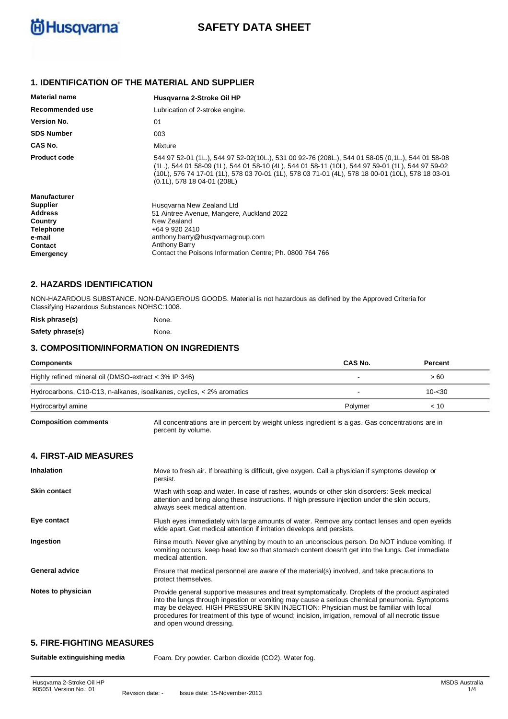

# **SAFETY DATA SHEET**

# **1. IDENTIFICATION OF THE MATERIAL AND SUPPLIER**

| <b>Material name</b> | Husgvarna 2-Stroke Oil HP                                                                                                                                                                                                                                                                                                               |
|----------------------|-----------------------------------------------------------------------------------------------------------------------------------------------------------------------------------------------------------------------------------------------------------------------------------------------------------------------------------------|
| Recommended use      | Lubrication of 2-stroke engine.                                                                                                                                                                                                                                                                                                         |
| <b>Version No.</b>   | 01                                                                                                                                                                                                                                                                                                                                      |
| <b>SDS Number</b>    | 003                                                                                                                                                                                                                                                                                                                                     |
| CAS No.              | Mixture                                                                                                                                                                                                                                                                                                                                 |
| <b>Product code</b>  | 544 97 52-01 (1L.), 544 97 52-02(10L.), 531 00 92-76 (208L.), 544 01 58-05 (0,1L.), 544 01 58-08<br>(1L.), 544 01 58-09 (1L), 544 01 58-10 (4L), 544 01 58-11 (10L), 544 97 59-01 (1L), 544 97 59-02<br>(10L), 576 74 17-01 (1L), 578 03 70-01 (1L), 578 03 71-01 (4L), 578 18 00-01 (10L), 578 18 03-01<br>(0.1L), 578 18 04-01 (208L) |
| <b>Manufacturer</b>  |                                                                                                                                                                                                                                                                                                                                         |
| <b>Supplier</b>      | Husgvarna New Zealand Ltd                                                                                                                                                                                                                                                                                                               |
| <b>Address</b>       | 51 Aintree Avenue, Mangere, Auckland 2022                                                                                                                                                                                                                                                                                               |
| Country              | New Zealand                                                                                                                                                                                                                                                                                                                             |
| <b>Telephone</b>     | +64 9 920 2410                                                                                                                                                                                                                                                                                                                          |
| e-mail               | anthony.barry@husqvarnagroup.com                                                                                                                                                                                                                                                                                                        |
| Contact              | <b>Anthony Barry</b>                                                                                                                                                                                                                                                                                                                    |
| Emergency            | Contact the Poisons Information Centre: Ph. 0800 764 766                                                                                                                                                                                                                                                                                |

### **2. HAZARDS IDENTIFICATION**

NON-HAZARDOUS SUBSTANCE. NON-DANGEROUS GOODS. Material is not hazardous as defined by the Approved Criteria for Classifying Hazardous Substances NOHSC:1008.

| Risk phrase(s)   | None. |
|------------------|-------|
| Safety phrase(s) | None. |

#### **3. COMPOSITION/INFORMATION ON INGREDIENTS**

| Components                                                            | <b>CAS No.</b> | Percent   |  |
|-----------------------------------------------------------------------|----------------|-----------|--|
| Highly refined mineral oil (DMSO-extract < 3% IP 346)                 |                | > 60      |  |
| Hydrocarbons, C10-C13, n-alkanes, isoalkanes, cyclics, < 2% aromatics |                | $10 - 30$ |  |
| Hydrocarbyl amine                                                     | Polymer        | < 10      |  |

**Composition comments**

All concentrations are in percent by weight unless ingredient is a gas. Gas concentrations are in percent by volume.

### **4. FIRST-AID MEASURES**

| <b>Inhalation</b>     | Move to fresh air. If breathing is difficult, give oxygen. Call a physician if symptoms develop or<br>persist.                                                                                                                                                                                                                                                                                                               |
|-----------------------|------------------------------------------------------------------------------------------------------------------------------------------------------------------------------------------------------------------------------------------------------------------------------------------------------------------------------------------------------------------------------------------------------------------------------|
| <b>Skin contact</b>   | Wash with soap and water. In case of rashes, wounds or other skin disorders: Seek medical<br>attention and bring along these instructions. If high pressure injection under the skin occurs,<br>always seek medical attention.                                                                                                                                                                                               |
| Eye contact           | Flush eyes immediately with large amounts of water. Remove any contact lenses and open eyelids<br>wide apart. Get medical attention if irritation develops and persists.                                                                                                                                                                                                                                                     |
| Ingestion             | Rinse mouth. Never give anything by mouth to an unconscious person. Do NOT induce vomiting. If<br>vomiting occurs, keep head low so that stomach content doesn't get into the lungs. Get immediate<br>medical attention.                                                                                                                                                                                                     |
| <b>General advice</b> | Ensure that medical personnel are aware of the material(s) involved, and take precautions to<br>protect themselves.                                                                                                                                                                                                                                                                                                          |
| Notes to physician    | Provide general supportive measures and treat symptomatically. Droplets of the product aspirated<br>into the lungs through ingestion or vomiting may cause a serious chemical pneumonia. Symptoms<br>may be delayed. HIGH PRESSURE SKIN INJECTION: Physician must be familiar with local<br>procedures for treatment of this type of wound; incision, irrigation, removal of all necrotic tissue<br>and open wound dressing. |

# **5. FIRE-FIGHTING MEASURES**

**Suitable extinguishing media** Foam. Dry powder. Carbon dioxide (CO2). Water fog.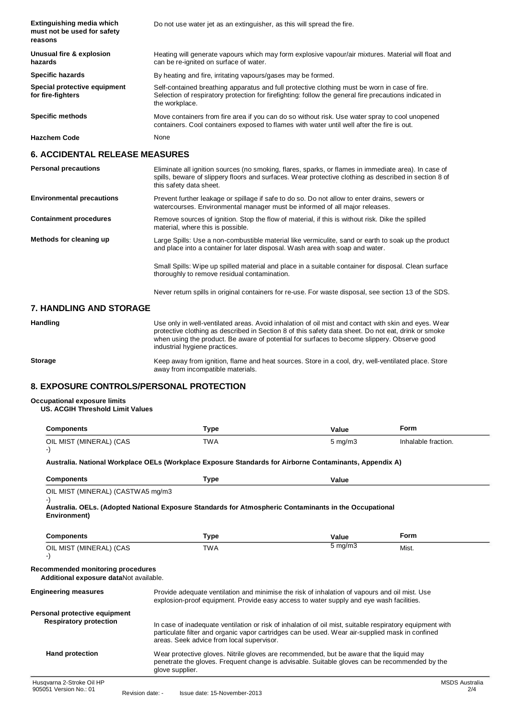| Extinguishing media which<br>must not be used for safety<br>reasons | Do not use water jet as an extinguisher, as this will spread the fire.                                                                                                                                                    |
|---------------------------------------------------------------------|---------------------------------------------------------------------------------------------------------------------------------------------------------------------------------------------------------------------------|
| Unusual fire & explosion<br>hazards                                 | Heating will generate vapours which may form explosive vapour/air mixtures. Material will float and<br>can be re-ignited on surface of water.                                                                             |
| <b>Specific hazards</b>                                             | By heating and fire, irritating vapours/gases may be formed.                                                                                                                                                              |
| Special protective equipment<br>for fire-fighters                   | Self-contained breathing apparatus and full protective clothing must be worn in case of fire.<br>Selection of respiratory protection for firefighting: follow the general fire precautions indicated in<br>the workplace. |
| <b>Specific methods</b>                                             | Move containers from fire area if you can do so without risk. Use water spray to cool unopened<br>containers. Cool containers exposed to flames with water until well after the fire is out.                              |
| <b>Hazchem Code</b>                                                 | None                                                                                                                                                                                                                      |

### **6. ACCIDENTAL RELEASE MEASURES**

| <b>Personal precautions</b>      | Eliminate all ignition sources (no smoking, flares, sparks, or flames in immediate area). In case of<br>spills, beware of slippery floors and surfaces. Wear protective clothing as described in section 8 of<br>this safety data sheet. |
|----------------------------------|------------------------------------------------------------------------------------------------------------------------------------------------------------------------------------------------------------------------------------------|
| <b>Environmental precautions</b> | Prevent further leakage or spillage if safe to do so. Do not allow to enter drains, sewers or<br>watercourses. Environmental manager must be informed of all major releases.                                                             |
| <b>Containment procedures</b>    | Remove sources of ignition. Stop the flow of material, if this is without risk. Dike the spilled<br>material, where this is possible.                                                                                                    |
| Methods for cleaning up          | Large Spills: Use a non-combustible material like vermiculite, sand or earth to soak up the product<br>and place into a container for later disposal. Wash area with soap and water.                                                     |
|                                  | Small Spills: Wipe up spilled material and place in a suitable container for disposal. Clean surface<br>thoroughly to remove residual contamination.                                                                                     |
|                                  | Never return spills in original containers for re-use. For waste disposal, see section 13 of the SDS.                                                                                                                                    |

## **7. HANDLING AND STORAGE**

**Handling** Use only in well-ventilated areas. Avoid inhalation of oil mist and contact with skin and eyes. Wear protective clothing as described in Section 8 of this safety data sheet. Do not eat, drink or smoke when using the product. Be aware of potential for surfaces to become slippery. Observe good industrial hygiene practices.

**Storage**

Keep away from ignition, flame and heat sources. Store in a cool, dry, well-ventilated place. Store away from incompatible materials.

# **8. EXPOSURE CONTROLS/PERSONAL PROTECTION**

#### **Occupational exposure limits**

#### **US. ACGIH Threshold Limit Values**

| Type       | Value            | Form                |
|------------|------------------|---------------------|
| <b>TWA</b> | $5 \text{ mg/m}$ | Inhalable fraction. |
|            |                  |                     |

#### **Australia. National Workplace OELs (Workplace Exposure Standards for Airborne Contaminants, Appendix A)**

| <b>Components</b>                                                           | Type                                                                                                                                                                                                                                                     | Value            |                              |
|-----------------------------------------------------------------------------|----------------------------------------------------------------------------------------------------------------------------------------------------------------------------------------------------------------------------------------------------------|------------------|------------------------------|
| OIL MIST (MINERAL) (CASTWA5 mg/m3<br>Environment)                           | Australia. OELs. (Adopted National Exposure Standards for Atmospheric Contaminants in the Occupational                                                                                                                                                   |                  |                              |
| <b>Components</b>                                                           | Type                                                                                                                                                                                                                                                     | Value            | Form                         |
| OIL MIST (MINERAL) (CAS<br>-)                                               | <b>TWA</b>                                                                                                                                                                                                                                               | $5 \text{ mg/m}$ | Mist.                        |
| Recommended monitoring procedures<br>Additional exposure dataNot available. |                                                                                                                                                                                                                                                          |                  |                              |
| <b>Engineering measures</b>                                                 | Provide adequate ventilation and minimise the risk of inhalation of vapours and oil mist. Use<br>explosion-proof equipment. Provide easy access to water supply and eye wash facilities.                                                                 |                  |                              |
| Personal protective equipment<br><b>Respiratory protection</b>              | In case of inadequate ventilation or risk of inhalation of oil mist, suitable respiratory equipment with<br>particulate filter and organic vapor cartridges can be used. Wear air-supplied mask in confined<br>areas. Seek advice from local supervisor. |                  |                              |
| <b>Hand protection</b>                                                      | Wear protective gloves. Nitrile gloves are recommended, but be aware that the liquid may<br>penetrate the gloves. Frequent change is advisable. Suitable gloves can be recommended by the<br>glove supplier.                                             |                  |                              |
| Husqvarna 2-Stroke Oil HP<br>905051 Version No.: 01                         | losus deter 45 Neugasher 2042<br>Davisies deter                                                                                                                                                                                                          |                  | <b>MSDS Australia</b><br>2/4 |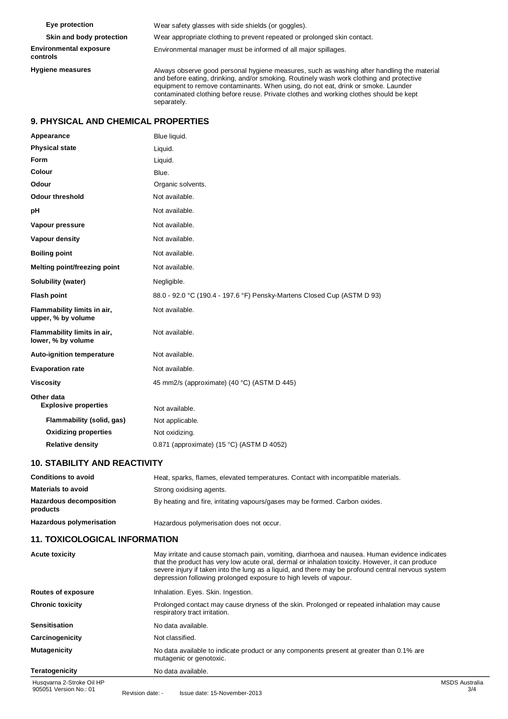**Eye protection Skin and body protection Environmental exposure controls Hygiene measures** Wear safety glasses with side shields (or goggles). Wear appropriate clothing to prevent repeated or prolonged skin contact. Environmental manager must be informed of all major spillages. Always observe good personal hygiene measures, such as washing after handling the material and before eating, drinking, and/or smoking. Routinely wash work clothing and protective equipment to remove contaminants. When using, do not eat, drink or smoke. Launder contaminated clothing before reuse. Private clothes and working clothes should be kept separately.

# **9. PHYSICAL AND CHEMICAL PROPERTIES**

| Appearance                                        | Blue liquid.                                                            |
|---------------------------------------------------|-------------------------------------------------------------------------|
| <b>Physical state</b>                             | Liquid.                                                                 |
| Form                                              | Liquid.                                                                 |
| Colour                                            | Blue.                                                                   |
| Odour                                             | Organic solvents.                                                       |
| Odour threshold                                   | Not available.                                                          |
| рH                                                | Not available.                                                          |
| Vapour pressure                                   | Not available.                                                          |
| Vapour density                                    | Not available.                                                          |
| <b>Boiling point</b>                              | Not available.                                                          |
| <b>Melting point/freezing point</b>               | Not available.                                                          |
| Solubility (water)                                | Negligible.                                                             |
| <b>Flash point</b>                                | 88.0 - 92.0 °C (190.4 - 197.6 °F) Pensky-Martens Closed Cup (ASTM D 93) |
| Flammability limits in air,<br>upper, % by volume | Not available.                                                          |
| Flammability limits in air,<br>lower, % by volume | Not available.                                                          |
| Auto-ignition temperature                         | Not available.                                                          |
| <b>Evaporation rate</b>                           | Not available.                                                          |
| <b>Viscosity</b>                                  | 45 mm2/s (approximate) (40 °C) (ASTM D 445)                             |
| Other data<br><b>Explosive properties</b>         | Not available.                                                          |
| Flammability (solid, gas)                         | Not applicable.                                                         |
| <b>Oxidizing properties</b>                       | Not oxidizing.                                                          |
| <b>Relative density</b>                           | 0.871 (approximate) (15 °C) (ASTM D 4052)                               |

# **10. STABILITY AND REACTIVITY**

| <b>Conditions to avoid</b>                 | Heat, sparks, flames, elevated temperatures. Contact with incompatible materials. |
|--------------------------------------------|-----------------------------------------------------------------------------------|
| <b>Materials to avoid</b>                  | Strong oxidising agents.                                                          |
| <b>Hazardous decomposition</b><br>products | By heating and fire, irritating vapours/gases may be formed. Carbon oxides.       |
| <b>Hazardous polymerisation</b>            | Hazardous polymerisation does not occur.                                          |

### **11. TOXICOLOGICAL INFORMATION**

| <b>Acute toxicity</b>     | May irritate and cause stomach pain, vomiting, diarrhoea and nausea. Human evidence indicates<br>that the product has very low acute oral, dermal or inhalation toxicity. However, it can produce<br>severe injury if taken into the lung as a liquid, and there may be profound central nervous system<br>depression following prolonged exposure to high levels of vapour. |           |
|---------------------------|------------------------------------------------------------------------------------------------------------------------------------------------------------------------------------------------------------------------------------------------------------------------------------------------------------------------------------------------------------------------------|-----------|
| <b>Routes of exposure</b> | Inhalation. Eyes. Skin. Ingestion.                                                                                                                                                                                                                                                                                                                                           |           |
| <b>Chronic toxicity</b>   | Prolonged contact may cause dryness of the skin. Prolonged or repeated inhalation may cause<br>respiratory tract irritation.                                                                                                                                                                                                                                                 |           |
| <b>Sensitisation</b>      | No data available.                                                                                                                                                                                                                                                                                                                                                           |           |
| Carcinogenicity           | Not classified.                                                                                                                                                                                                                                                                                                                                                              |           |
| <b>Mutagenicity</b>       | No data available to indicate product or any components present at greater than 0.1% are<br>mutagenic or genotoxic.                                                                                                                                                                                                                                                          |           |
| <b>Teratogenicity</b>     | No data available.                                                                                                                                                                                                                                                                                                                                                           |           |
| Husqvarna 2-Stroke Oil HP |                                                                                                                                                                                                                                                                                                                                                                              | <b>MS</b> |